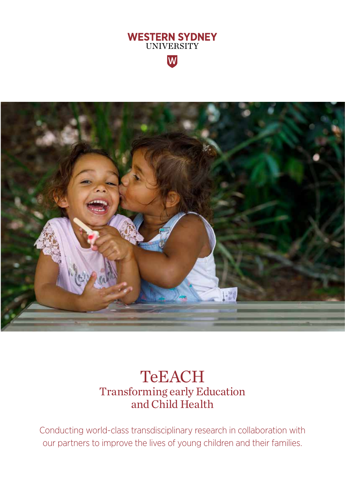



## **TeEACH** Transforming early Education and Child Health

Conducting world-class transdisciplinary research in collaboration with our partners to improve the lives of young children and their families.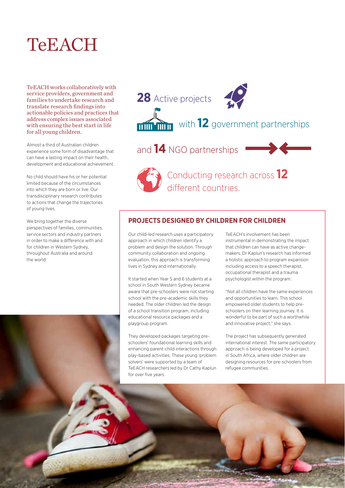# **TeEACH**

TeEACH works collaboratively with service providers, government and families to undertake research and translate research findings into actionable policies and practices that address complex issues associated with ensuring the best start in life for all young children.

Almost a third of Australian children experience some form of disadvantage that can have a lasting impact on their health, development and educational achievement.

No child should have his or her potential limited because of the circumstances into which they are born or live. Our transdisciplinary research contributes to actions that change the trajectories of young lives.

We bring together the diverse perspectives of families, communities, service sectors and industry partners in order to make a difference with and for children in Western Sydney, throughout Australia and around the world.



and **14** NGO partnerships



**Conducting research across 12** different countries.

### **PROJECTS DESIGNED BY CHILDREN FOR CHILDREN**

Our child-led research uses a participatory approach in which children identify a problem and design the solution. Through community collaboration and ongoing evaluation, this approach is transforming lives in Sydney and internationally.

It started when Year 5 and 6 students at a school in South Western Sydney became aware that pre-schoolers were not starting school with the pre-academic skills they needed. The older children led the design of a school transition program, including educational resource packages and a playgroup program.

They developed packages targeting preschoolers' foundational learning skills and enhancing parent-child interactions through play-based activities. These young 'problem solvers' were supported by a team of TeEACH researchers led by Dr Cathy Kaplun for over five years.

TeEACH's involvement has been instrumental in demonstrating the impact that children can have as active changemakers. Dr Kaplun's research has informed a holistic approach to program expansion including access to a speech therapist, occupational therapist and a trauma psychologist within the program.

"Not all children have the same experiences and opportunities to learn. This school empowered older students to help preschoolers on their learning journey. It is wonderful to be part of such a worthwhile and innovative project," she says.

The project has subsequently generated international interest. The same participatory approach is being developed for a project in South Africa, where older children are designing resources for pre-schoolers from refugee communities.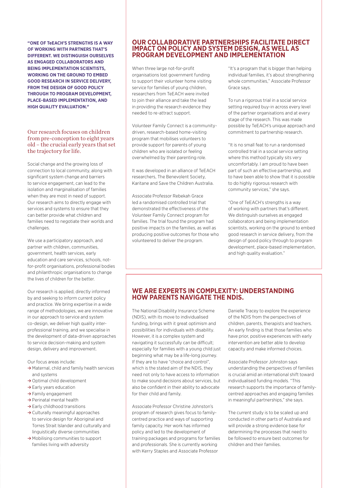**"ONE OF TeEACH'S STRENGTHS IS A WAY OF WORKING WITH PARTNERS THAT'S DIFFERENT. WE DISTINGUISH OURSELVES AS ENGAGED COLLABORATORS AND BEING IMPLEMENTATION SCIENTISTS, WORKING ON THE GROUND TO EMBED GOOD RESEARCH IN SERVICE DELIVERY, FROM THE DESIGN OF GOOD POLICY THROUGH TO PROGRAM DEVELOPMENT, PLACE-BASED IMPLEMENTATION, AND HIGH QUALITY EVALUATION."**

#### Our research focuses on children from pre-conception to eight years old – the crucial early years that set the trajectory for life.

Social change and the growing loss of connection to local community, along with significant system change and barriers to service engagement, can lead to the isolation and marginalisation of families when they are most in need of support. Our research aims to directly engage with services and systems to ensure that they can better provide what children and families need to negotiate their worlds and challenges.

We use a participatory approach, and partner with children, communities, government, health services, early education and care services, schools, notfor-profit organisations, professional bodies and philanthropic organisations to change the lives of children for the better.

Our research is applied, directly informed by and seeking to inform current policy and practice. We bring expertise in a wide range of methodologies, we are innovative in our approach to service and system co-design, we deliver high quality interprofessional training, and we specialise in the development of data-driven approaches to service decision-making and system design, delivery and improvement.

Our focus areas include:

- **≥** Maternal, child and family health services and systems
- **≥** Optimal child development
- **≥** Early years education
- **≥** Family engagement
- **≥** Perinatal mental health
- **≥** Early childhood transitions
- **≥** Culturally meaningful approaches to service design for Aboriginal and Torres Strait Islander and culturally and linguistically diverse communities
- **≥** Mobilising communities to support families living with adversity

#### **OUR COLLABORATIVE PARTNERSHIPS FACILITATE DIRECT IMPACT ON POLICY AND SYSTEM DESIGN, AS WELL AS PROGRAM DEVELOPMENT AND IMPLEMENTATION**

When three large not-for-profit organisations lost government funding to support their volunteer home visiting service for families of young children, researchers from TeEACH were invited to join their alliance and take the lead in providing the research evidence they needed to re-attract support.

Volunteer Family Connect is a communitydriven, research-based home-visiting program that mobilises volunteers to provide support for parents of young children who are isolated or feeling overwhelmed by their parenting role.

It was developed in an alliance of TeEACH researchers, The Benevolent Society, Karitane and Save the Children Australia.

Associate Professor Rebekah Grace led a randomised controlled trial that demonstrated the effectiveness of the Volunteer Family Connect program for families. The trial found the program had positive impacts on the families, as well as producing positive outcomes for those who volunteered to deliver the program.

"It's a program that is bigger than helping individual families, it's about strengthening whole communities," Associate Professor Grace says.

To run a rigorous trial in a social service setting required buy-in across every level of the partner organisations and at every stage of the research. This was made possible by TeEACH's unique approach and commitment to partnership research.

"It is no small feat to run a randomised controlled trial in a social service setting where this method typically sits very uncomfortably. I am proud to have been part of such an effective partnership, and to have been able to show that it is possible to do highly rigorous research with community services," she says.

"One of TeEACH's strengths is a way of working with partners that's different. We distinguish ourselves as engaged collaborators and being implementation scientists, working on the ground to embed good research in service delivery, from the design of good policy through to program development, place-based implementation, and high quality evaluation."

#### **WE ARE EXPERTS IN COMPLEXITY: UNDERSTANDING HOW PARENTS NAVIGATE THE NDIS.**

The National Disability Insurance Scheme (NDIS), with its move to individualised funding, brings with it great optimism and possibilities for individuals with disability. However, it is a complex system and navigating it successfully can be difficult; especially for families with a young child just beginning what may be a life-long journey. If they are to have "choice and control", which is the stated aim of the NDIS, they need not only to have access to information to make sound decisions about services, but also be confident in their ability to advocate for their child and family.

Associate Professor Christine Johnston's program of research gives focus to familycentred practice and ways of supporting family capacity. Her work has informed policy and led to the development of training packages and programs for families and professionals. She is currently working with Kerry Staples and Associate Professor

Danielle Tracey to explore the experience of the NDIS from the perspectives of children, parents, therapists and teachers. An early finding is that those families who have prior, positive experiences with early intervention are better able to develop capacity and make informed choices.

Associate Professor Johnston says understanding the perspectives of families is crucial amid an international shift toward individualised funding models. "This research supports the importance of familycentred approaches and engaging families in meaningful partnerships," she says.

The current study is to be scaled up and conducted in other parts of Australia and will provide a strong evidence base for determining the processes that need to be followed to ensure best outcomes for children and their families.